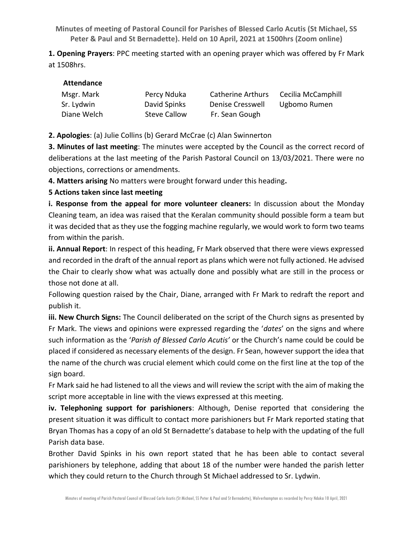**Minutes of meeting of Pastoral Council for Parishes of Blessed Carlo Acutis (St Michael, SS Peter & Paul and St Bernadette). Held on 10 April, 2021 at 1500hrs (Zoom online)** 

**1. Opening Prayers**: PPC meeting started with an opening prayer which was offered by Fr Mark at 1508hrs.

| Msgr. Mark  | Percy Nduka         | <b>Catherine Arthurs</b> | Cecilia McCamphill |
|-------------|---------------------|--------------------------|--------------------|
| Sr. Lydwin  | David Spinks        | Denise Cresswell         | Ugbomo Rumen       |
| Diane Welch | <b>Steve Callow</b> | Fr. Sean Gough           |                    |

**2. Apologies**: (a) Julie Collins (b) Gerard McCrae (c) Alan Swinnerton

**3. Minutes of last meeting**: The minutes were accepted by the Council as the correct record of deliberations at the last meeting of the Parish Pastoral Council on 13/03/2021. There were no objections, corrections or amendments.

**4. Matters arising** No matters were brought forward under this heading**.**

**5 Actions taken since last meeting**

**i. Response from the appeal for more volunteer cleaners:** In discussion about the Monday Cleaning team, an idea was raised that the Keralan community should possible form a team but it was decided that as they use the fogging machine regularly, we would work to form two teams from within the parish.

**ii. Annual Report**: In respect of this heading, Fr Mark observed that there were views expressed and recorded in the draft of the annual report as plans which were not fully actioned. He advised the Chair to clearly show what was actually done and possibly what are still in the process or those not done at all.

Following question raised by the Chair, Diane, arranged with Fr Mark to redraft the report and publish it.

**iii. New Church Signs:** The Council deliberated on the script of the Church signs as presented by Fr Mark. The views and opinions were expressed regarding the '*dates*' on the signs and where such information as the '*Parish of Blessed Carlo Acutis'* or the Church's name could be could be placed if considered as necessary elements of the design. Fr Sean, however support the idea that the name of the church was crucial element which could come on the first line at the top of the sign board.

Fr Mark said he had listened to all the views and will review the script with the aim of making the script more acceptable in line with the views expressed at this meeting.

**iv. Telephoning support for parishioners**: Although, Denise reported that considering the present situation it was difficult to contact more parishioners but Fr Mark reported stating that Bryan Thomas has a copy of an old St Bernadette's database to help with the updating of the full Parish data base.

Brother David Spinks in his own report stated that he has been able to contact several parishioners by telephone, adding that about 18 of the number were handed the parish letter which they could return to the Church through St Michael addressed to Sr. Lydwin.